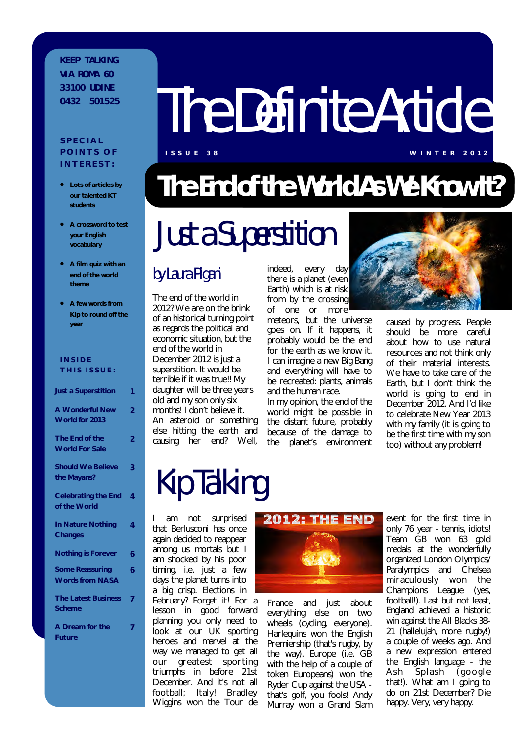#### **K E E P T A L K I N G VIA ROMA 60 3 3 1 0 0 U D I N E**

#### **S P E C I A L POINTS OF I N T E R E S T :**

- **Lots of articles by our talented KT students**
- **A crossword to test your English vocabulary**
- **A film quiz with an end of the world theme**
- **A few words from Kip to round off the year**

| <b>INSIDE</b><br>THIS ISSUE:                     |                |
|--------------------------------------------------|----------------|
| <b>Just a Superstition</b>                       | 1              |
| <b>A Wonderful New</b><br>World for 2013         | $\overline{2}$ |
| The End of the<br><b>World For Sale</b>          | $\overline{2}$ |
| <b>Should We Believe</b><br>the Mayans?          | 3              |
| <b>Celebrating the End</b><br>of the World       | 4              |
| <b>In Nature Nothing</b><br><b>Changes</b>       | 4              |
| <b>Nothing is Forever</b>                        | 6              |
| <b>Some Reassuring</b><br><b>Words from NASA</b> | 6              |
| <b>The Latest Business</b><br><b>Scheme</b>      | 7              |
| A Dream for the<br><b>Future</b>                 |                |
|                                                  |                |

# **O 432 501525 The Definite Article**

**I S S U E 3 8 W I N T E R 2 0 1 2**

### The End of the World As We Know It? **The End of the World As We Know It?**

# Just a Superstition

#### by Laura Pigani

The end of the world in 2012? We are on the brink of an historical turning point as regards the political and economic situation, but the end of the world in December 2012 is just a superstition. It would be terrible if it was true!! My daughter will be three years old and my son only six months! I don't believe it. An asteroid or something else hitting the earth and causing her end? Well,

indeed, every day there is a planet (even Earth) which is at risk from by the crossing of one or more

meteors, but the universe goes on. If it happens, it probably would be the end for the earth as we know it. I can imagine a new Big Bang and everything will have to be recreated: plants, animals and the human race.

In my opinion, the end of the world might be possible in the distant future, probably because of the damage to the planet's environment



caused by progress. People should be more careful about how to use natural resources and not think only of their material interests. We have to take care of the Earth, but I don't think the world is going to end in December 2012. And I'd like to celebrate New Year 2013 with my family (it is going to be the first time with my son too) without any problem!

# Kip Talking

I am not surprised that Berlusconi has once again decided to reappear among us mortals but I am shocked by his poor timing, i.e. just a few days the planet turns into a big crisp. Elections in February? Forget it! For a lesson in good forward planning you only need to look at our UK sporting heroes and marvel at the way we managed to get all our greatest sporting triumphs in before 21st December. And it's not all football; Italy! Bradley Wiggins won the Tour de



France and just about everything else on two wheels (cycling, everyone). Harlequins won the English Premiership (that's rugby, by the way). Europe (i.e. GB with the help of a couple of token Europeans) won the Ryder Cup against the USA that's golf, you fools! Andy Murray won a Grand Slam

event for the first time in only 76 year - tennis, idiots! Team GB won 63 gold medals at the wonderfully organized London Olympics/ Paralympics and Chelsea miraculously won the Champions League (yes, football!). Last but not least, England achieved a historic win against the All Blacks 38- 21 (hallelujah, more rugby!) a couple of weeks ago. And a new expression entered the English language - the Ash Splash (google that!). What am I going to do on 21st December? Die happy. Very, very happy.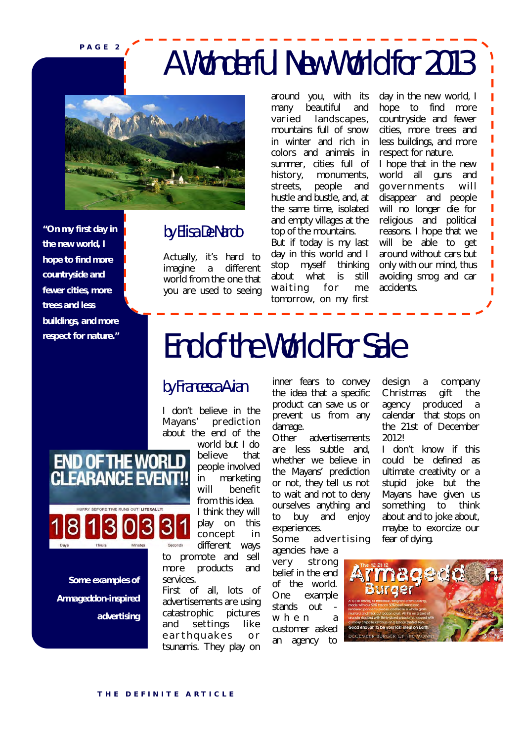**P A G E 2**

### A Wonderful New World for 2013



*"On my first day in the new world, I hope to find more countryside and fewer cities, more trees and less buildings, and more respect for nature."*

*Some examples of* 

**END OF THE WORL FARANCE FL** 

*advertising*

*Armageddon-inspired* 

#### by Elisa De Nardo

Actually, it's hard to imagine a different world from the one that you are used to seeing around you, with its many beautiful and varied landscapes, mountains full of snow in winter and rich in colors and animals in summer, cities full of history, monuments, streets, people and hustle and bustle, and, at the same time, isolated and empty villages at the top of the mountains. But if today is my last day in this world and I<br>stop myself thinking stop myself about what is still waiting for me tomorrow, on my first

day in the new world, I hope to find more countryside and fewer cities, more trees and less buildings, and more respect for nature. I hope that in the new world all guns and governments will disappear and people will no longer die for religious and political reasons. I hope that we will be able to get around without cars but only with our mind, thus avoiding smog and car accidents.

ī ı ı

### End of the World For Sale

#### by Francesca Avian

I don't believe in the Mayans' prediction about the end of the

world but I do believe that people involved in marketing will benefit from this idea. I think they will play on this concept in different ways

to promote and sell more products and services.

First of all, lots of advertisements are using catastrophic pictures and settings like e a r th quakes or tsunamis. They play on inner fears to convey the idea that a specific product can save us or prevent us from any damage.

Other advertisements are less subtle and, whether we believe in the Mayans' prediction or not, they tell us not to wait and not to deny ourselves anything and to buy and enjoy experiences.

Some advertising

agencies have a very strong belief in the end of the world. One example stands out when a customer asked an agency to

design a company Christmas gift the agency produced a calendar that stops on the 21st of December 2012!

I don't know if this could be defined as ultimate creativity or a stupid joke but the Mayans have given us something to think about and to joke about, maybe to exorcize our fear of dying.

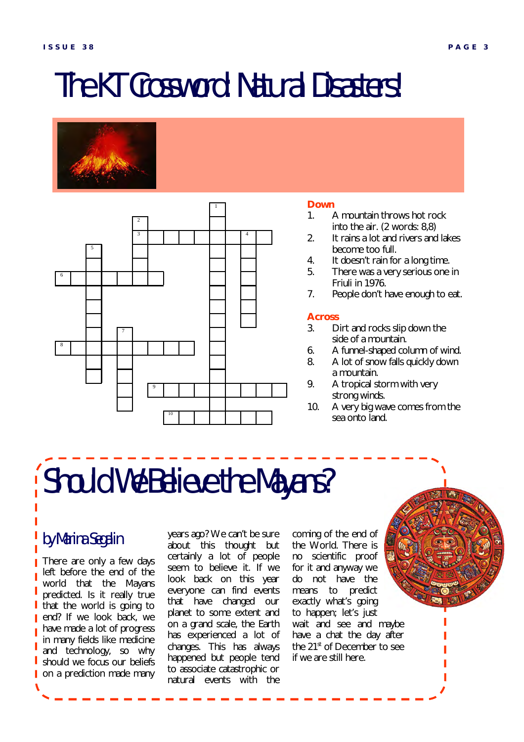### The KT Crossword: Natural Disasters!





#### **Down**

- 1. A mountain throws hot rock into the air. (2 words: 8,8)
- 2. It rains a lot and rivers and lakes become too full.
- 4. It doesn't rain for a long time.<br>5. There was a very serious one
- There was a very serious one in Friuli in 1976.
- 7. People don't have enough to eat.

#### **Across**

- 3. Dirt and rocks slip down the side of a mountain.
- 6. A funnel-shaped column of wind.
- 8. A lot of snow falls quickly down a mountain.
- 9. A tropical storm with very strong winds.
- 10. A very big wave comes from the sea onto land.

# Should We Believe the Mayans?

#### by Marina Segalin

There are only a few days left before the end of the world that the Mayans predicted. Is it really true that the world is going to end? If we look back, we have made a lot of progress in many fields like medicine and technology, so why should we focus our beliefs on a prediction made many

years ago? We can't be sure about this thought but certainly a lot of people seem to believe it. If we look back on this year everyone can find events that have changed our planet to some extent and on a grand scale, the Earth has experienced a lot of changes. This has always happened but people tend to associate catastrophic or natural events with the

coming of the end of the World. There is no scientific proof for it and anyway we do not have the means to predict exactly what's going to happen; let's just wait and see and maybe have a chat the day after the 21<sup>st</sup> of December to see if we are still here.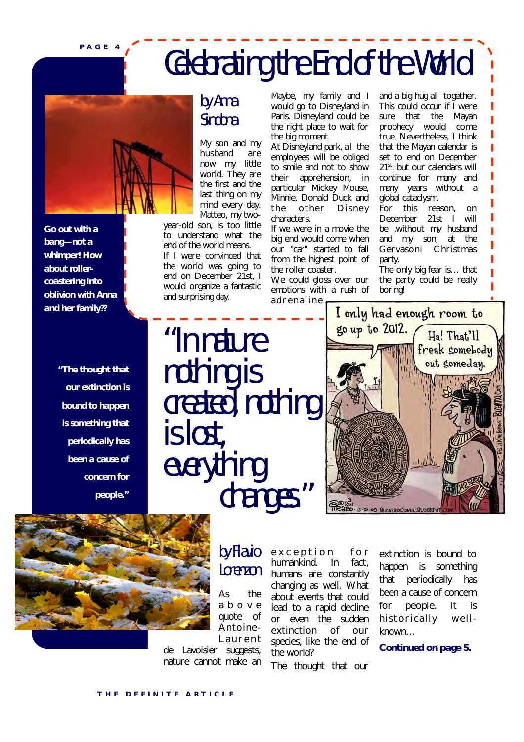**P A G E 4**

### Celebrating the End of the World



*Go out with a bang—not a whimper! How about rollercoastering into oblivion with Anna and her family??*

> *"The thought that our extinction is bound to happen is something that periodically has been a cause of concern for people."*

#### by Anna Sindona

My son and my husband are now my little world. They are the first and the last thing on my mind every day. Matteo, my two-

year-old son, is too little to understand what the end of the world means.

If I were convinced that the world was going to end on December 21st, I would organize a fantastic and surprising day.

Maybe, my family and I would go to Disneyland in Paris. Disneyland could be the right place to wait for the big moment.

At Disneyland park, all the employees will be obliged to smile and not to show their apprehension, in particular Mickey Mouse, Minnie, Donald Duck and the other Disnev characters.

If we were in a movie the big end would come when our "car" started to fall from the highest point of the roller coaster.

We could gloss over our emotions with a rush of adrenaline

"In nature nothing is created, nothing is lost, everything changes."



and a big hug all together. This could occur if I were sure that the Mayan prophecy would come true. Nevertheless, I think that the Mayan calendar is set to end on December 21<sup>st</sup>, but our calendars will continue for many and many years without a

global cataclysm.

party.

boring!

For this reason, on December 21st I will be ,without my husband and my son, at the Gervasoni Christmas

The only big fear is… that the party could be really



by Flavio Lorenzon

As the a b o v e quote of Antoine-**Laurent** 

de Lavoisier suggests, nature cannot make an exception for humankind. In fact, humans are constantly changing as well. What about events that could lead to a rapid decline or even the sudden extinction of our species, like the end of the world?

The thought that our

extinction is bound to happen is something that periodically has been a cause of concern for people. It is historically wellknown…

*Continued on page 5.*

#### **THE DEFINITE ARTICLE**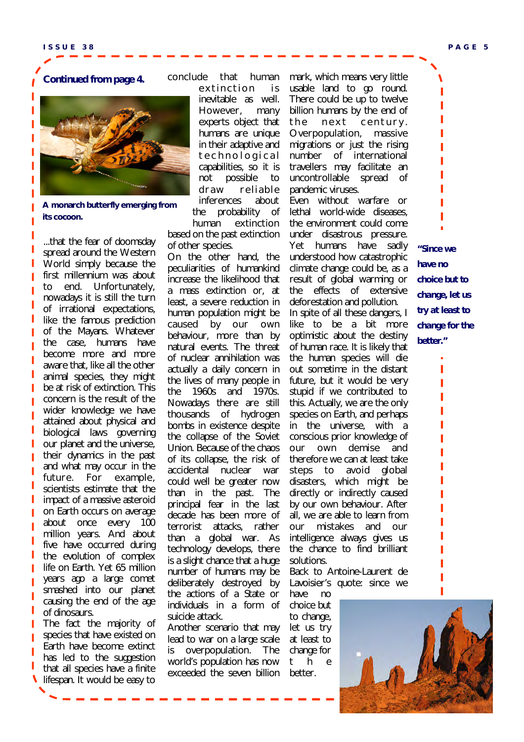#### *Continued from page 4.*



**A monarch butterfly emerging from its cocoon.**

...that the fear of doomsday spread around the Western World simply because the first millennium was about to end. Unfortunately, nowadays it is still the turn of irrational expectations, like the famous prediction of the Mayans. Whatever the case, humans have become more and more aware that, like all the other animal species, they might be at risk of extinction. This concern is the result of the wider knowledge we have attained about physical and biological laws governing our planet and the universe, their dynamics in the past and what may occur in the future. For example, scientists estimate that the impact of a massive asteroid on Earth occurs on average about once every 100 million years. And about five have occurred during the evolution of complex life on Earth. Yet 65 million years ago a large comet smashed into our planet causing the end of the age of dinosaurs.

The fact the majority of species that have existed on Earth have become extinct has led to the suggestion that all species have a finite lifespan. It would be easy to

#### conclude that human

extinction is inevitable as well. However, many experts object that humans are unique in their adaptive and t e c h n o l o g i c a l capabilities, so it is not possible to draw reliable inferences about the probability of human extinction

based on the past extinction of other species.

On the other hand, the peculiarities of humankind increase the likelihood that a mass extinction or, at least, a severe reduction in human population might be caused by our own behaviour, more than by natural events. The threat of nuclear annihilation was actually a daily concern in the lives of many people in the 1960s and 1970s. Nowadays there are still thousands of hydrogen bombs in existence despite the collapse of the Soviet Union. Because of the chaos of its collapse, the risk of accidental nuclear war could well be greater now than in the past. The principal fear in the last decade has been more of terrorist attacks, rather than a global war. As technology develops, there is a slight chance that a huge number of humans may be deliberately destroyed by the actions of a State or individuals in a form of suicide attack.

Another scenario that may lead to war on a large scale is overpopulation. The world's population has now exceeded the seven billion mark, which means very little usable land to go round. There could be up to twelve billion humans by the end of the next century. Overpopulation, massive migrations or just the rising number of international travellers may facilitate an uncontrollable spread of pandemic viruses.

Even without warfare or lethal world-wide diseases, the environment could come under disastrous pressure. Yet humans have sadly understood how catastrophic climate change could be, as a result of global warming or the effects of extensive deforestation and pollution. In spite of all these dangers, I like to be a bit more optimistic about the destiny of human race. It is likely that the human species will die out sometime in the distant future, but it would be very stupid if we contributed to this. Actually, we are the only species on Earth, and perhaps in the universe, with a conscious prior knowledge of our own demise and therefore we can at least take steps to avoid global disasters, which might be directly or indirectly caused by our own behaviour. After all, we are able to learn from our mistakes and our intelligence always gives us the chance to find brilliant solutions.

Back to Antoine-Laurent de Lavoisier's quote: since we

have no choice but to change, let us try at least to change for t h e better.

*"Since we have no choice but to change, let us try at least to change for the better."*

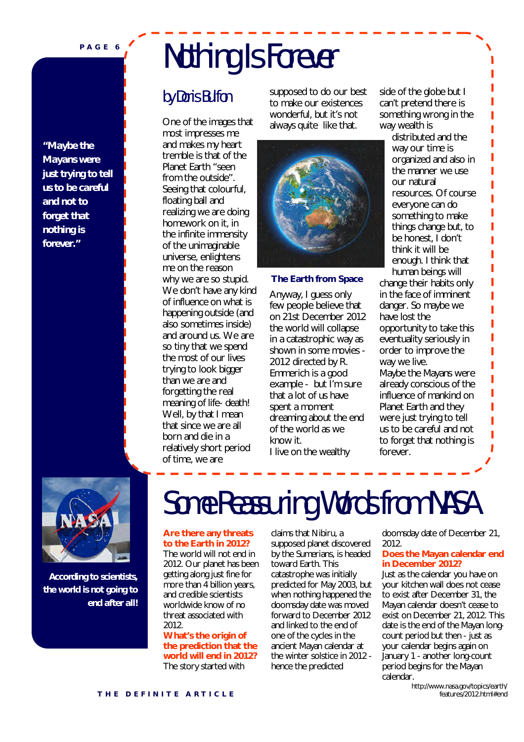**P A G E 6**

*"Maybe the Mayans were just trying to tell us to be careful and not to forget that nothing is forever."*

# Nothing Is Forever

#### by Doris Bulfon

One of the images that most impresses me and makes my heart tremble is that of the Planet Earth "seen from the outside". Seeing that colourful, floating ball and realizing we are doing homework on it, in the infinite immensity of the unimaginable universe, enlightens me on the reason why we are so stupid. We don't have any kind of influence on what is happening outside (and also sometimes inside) and around us. We are so tiny that we spend the most of our lives trying to look bigger than we are and forgetting the real meaning of life- death! Well, by that I mean that since we are all born and die in a relatively short period of time, we are

supposed to do our best to make our existences wonderful, but it's not always quite like that.



#### **The Earth from Space**

Anyway, I guess only few people believe that on 21st December 2012 the world will collapse in a catastrophic way as shown in some movies - *2012* directed by R. Emmerich is a good example - but I'm sure that a lot of us have spent a moment dreaming about the end of the world as we know it. I live on the wealthy

side of the globe but I can't pretend there is something wrong in the way wealth is

> distributed and the way our time is organized and also in the manner we use our natural resources. Of course everyone can do something to make things change but, to be honest, I don't think it will be enough. I think that human beings will

change their habits only in the face of imminent danger. So maybe we have lost the opportunity to take this eventuality seriously in order to improve the way we live. Maybe the Mayans were already conscious of the influence of mankind on Planet Earth and they were just trying to tell us to be careful and not to forget that nothing is forever.



*According to scientists, the world is not going to end after all!*

### Some Reassuring Words from NASA

#### **Are there any threats to the Earth in 2012?**

The world will not end in 2012. Our planet has been getting along just fine for more than 4 billion years, and credible scientists worldwide know of no threat associated with 2012.

**What's the origin of the prediction that the world will end in 2012?**  The story started with

claims that Nibiru, a supposed planet discovered by the Sumerians, is headed toward Earth. This catastrophe was initially predicted for May 2003, but when nothing happened the doomsday date was moved forward to December 2012 and linked to the end of one of the cycles in the ancient Mayan calendar at the winter solstice in 2012 hence the predicted

doomsday date of December 21, 2012.

#### **Does the Mayan calendar end in December 2012?**

Just as the calendar you have on your kitchen wall does not cease to exist after December 31, the Mayan calendar doesn't cease to exist on December 21, 2012. This date is the end of the Mayan longcount period but then - just as your calendar begins again on January 1 - another long-count period begins for the Mayan calendar.

http://www.nasa.gov/topics/earth/ features/2012.html#end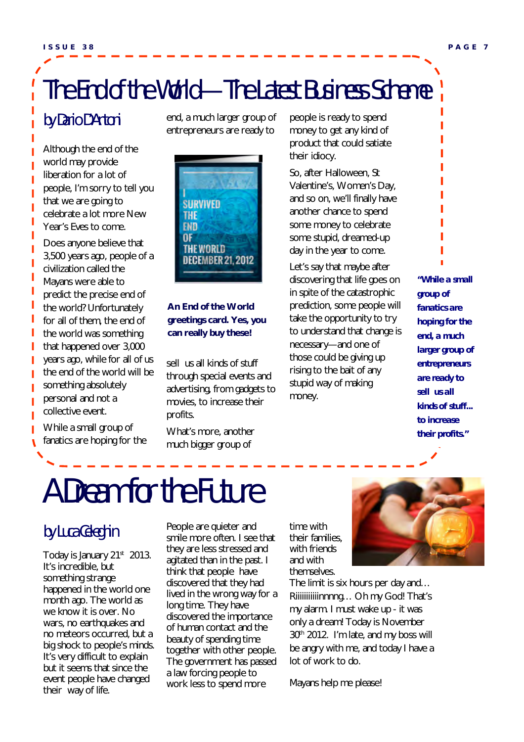### The End of the World—The Latest Business Scheme

#### by Dario D'Antoni

Ï

Although the end of the world may provide liberation for a lot of people, I'm sorry to tell you that we are going to celebrate a lot more New Year's Eves to come.

Does anyone believe that 3,500 years ago, people of a civilization called the Mayans were able to predict the precise end of the world? Unfortunately for all of them, the end of the world was something that happened over 3,000 years ago, while for all of us the end of the world will be something absolutely personal and not a collective event.

While a small group of fanatics are hoping for the end, a much larger group of entrepreneurs are ready to



#### **An End of the World greetings card. Yes, you can really buy these!**

sell us all kinds of stuff through special events and advertising, from gadgets to movies, to increase their profits.

What's more, another much bigger group of

people is ready to spend money to get any kind of product that could satiate their idiocy.

So, after Halloween, St Valentine's, Women's Day, and so on, we'll finally have another chance to spend some money to celebrate some stupid, dreamed-up day in the year to come.

Let's say that maybe after discovering that life goes on in spite of the catastrophic prediction, some people will take the opportunity to try to understand that change is necessary—and one of those could be giving up rising to the bait of any stupid way of making money.

*"While a small group of fanatics are hoping for the end, a much larger group of entrepreneurs are ready to sell us all kinds of stuff... to increase their profits."*

# A Dream for the Future

#### by Luca Celeghin

Today is January 21<sup>st</sup> 2013. It's incredible, but something strange happened in the world one month ago. The world as we know it is over. No wars, no earthquakes and no meteors occurred, but a big shock to people's minds. It's very difficult to explain but it seems that since the event people have changed their way of life.

People are quieter and smile more often. I see that they are less stressed and agitated than in the past. I think that people have discovered that they had lived in the wrong way for a long time. They have discovered the importance of human contact and the beauty of spending time together with other people. The government has passed a law forcing people to work less to spend more

time with their families, with friends and with themselves.



The limit is six hours per day and… Riiiiiiiiiiiinnnng... Oh my God! That's my alarm. I must wake up - it was only a dream! Today is November 30<sup>th</sup> 2012. I'm late, and my boss will be angry with me, and today I have a lot of work to do.

Mayans help me please!